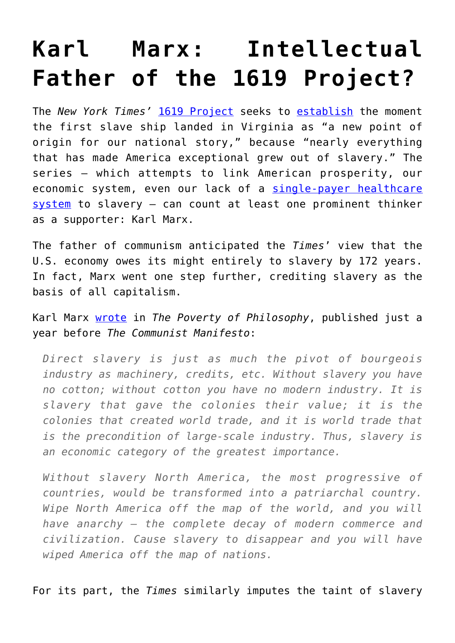## **[Karl Marx: Intellectual](https://intellectualtakeout.org/2019/09/karl-marx-intellectual-father-of-the-1619-project/) [Father of the 1619 Project?](https://intellectualtakeout.org/2019/09/karl-marx-intellectual-father-of-the-1619-project/)**

The *New York Times'* [1619 Project](https://www.nytimes.com/interactive/2019/08/14/magazine/1619-america-slavery.html?module=inline&mtrref=www.nytimes.com&assetType=REGIWALL&mtrref=www.nytimes.com&assetType=REGIWALL) seeks to [establish](https://www.nytimes.com/2019/08/13/magazine/1619-project-livestream.html) the moment the first slave ship landed in Virginia as "a new point of origin for our national story," because "nearly everything that has made America exceptional grew out of slavery." The series – which attempts to link American prosperity, our economic system, even our lack of a [single-payer healthcare](https://www.nytimes.com/interactive/2019/08/14/magazine/universal-health-care-racism.html) [system](https://www.nytimes.com/interactive/2019/08/14/magazine/universal-health-care-racism.html) to slavery – can count at least one prominent thinker as a supporter: Karl Marx.

The father of communism anticipated the *Times*' view that the U.S. economy owes its might entirely to slavery by 172 years. In fact, Marx went one step further, crediting slavery as the basis of all capitalism.

Karl Marx [wrote](https://www.marxists.org/archive/marx/works/1847/poverty-philosophy/ch02.htm) in *The Poverty of Philosophy*, published just a year before *The Communist Manifesto*:

*Direct slavery is just as much the pivot of bourgeois industry as machinery, credits, etc. Without slavery you have no cotton; without cotton you have no modern industry. It is slavery that gave the colonies their value; it is the colonies that created world trade, and it is world trade that is the precondition of large-scale industry. Thus, slavery is an economic category of the greatest importance.*

*Without slavery North America, the most progressive of countries, would be transformed into a patriarchal country. Wipe North America off the map of the world, and you will have anarchy – the complete decay of modern commerce and civilization. Cause slavery to disappear and you will have wiped America off the map of nations.*

For its part, the *Times* similarly imputes the taint of slavery